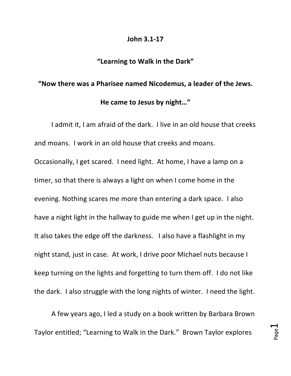## **John 3.1-17**

## "Learning to Walk in the Dark"

## "Now there was a Pharisee named Nicodemus, a leader of the Jews. He came to Jesus by night..."

I admit it, I am afraid of the dark. I live in an old house that creeks and moans. I work in an old house that creeks and moans. Occasionally, I get scared. I need light. At home, I have a lamp on a timer, so that there is always a light on when I come home in the evening. Nothing scares me more than entering a dark space. I also have a night light in the hallway to guide me when I get up in the night. It also takes the edge off the darkness. I also have a flashlight in my night stand, just in case. At work, I drive poor Michael nuts because I keep turning on the lights and forgetting to turn them off. I do not like the dark. I also struggle with the long nights of winter. I need the light.

A few years ago, I led a study on a book written by Barbara Brown Taylor entitled; "Learning to Walk in the Dark." Brown Taylor explores

Page يب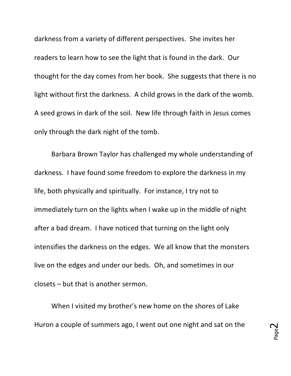darkness from a variety of different perspectives. She invites her readers to learn how to see the light that is found in the dark. Our thought for the day comes from her book. She suggests that there is no light without first the darkness. A child grows in the dark of the womb. A seed grows in dark of the soil. New life through faith in Jesus comes only through the dark night of the tomb.

Barbara Brown Taylor has challenged my whole understanding of darkness. I have found some freedom to explore the darkness in my life, both physically and spiritually. For instance, I try not to immediately turn on the lights when I wake up in the middle of night after a bad dream. I have noticed that turning on the light only intensifies the darkness on the edges. We all know that the monsters live on the edges and under our beds. Oh, and sometimes in our  $closets - but that is another serum.$ 

When I visited my brother's new home on the shores of Lake Huron a couple of summers ago, I went out one night and sat on the

Page  $\boldsymbol{\sim}$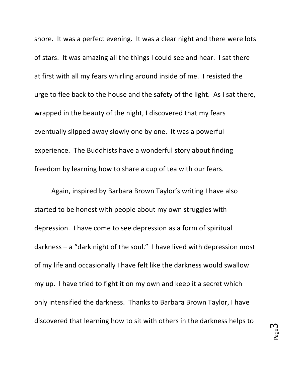shore. It was a perfect evening. It was a clear night and there were lots of stars. It was amazing all the things I could see and hear. I sat there at first with all my fears whirling around inside of me. I resisted the urge to flee back to the house and the safety of the light. As I sat there, wrapped in the beauty of the night, I discovered that my fears eventually slipped away slowly one by one. It was a powerful experience. The Buddhists have a wonderful story about finding freedom by learning how to share a cup of tea with our fears.

Again, inspired by Barbara Brown Taylor's writing I have also started to be honest with people about my own struggles with depression. I have come to see depression as a form of spiritual darkness  $-$  a "dark night of the soul." I have lived with depression most of my life and occasionally I have felt like the darkness would swallow my up. I have tried to fight it on my own and keep it a secret which only intensified the darkness. Thanks to Barbara Brown Taylor, I have discovered that learning how to sit with others in the darkness helps to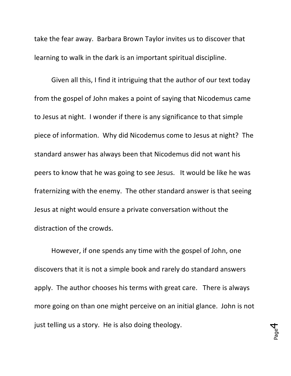take the fear away. Barbara Brown Taylor invites us to discover that learning to walk in the dark is an important spiritual discipline.

Given all this, I find it intriguing that the author of our text today from the gospel of John makes a point of saying that Nicodemus came to Jesus at night. I wonder if there is any significance to that simple piece of information. Why did Nicodemus come to Jesus at night? The standard answer has always been that Nicodemus did not want his peers to know that he was going to see Jesus. It would be like he was fraternizing with the enemy. The other standard answer is that seeing Jesus at night would ensure a private conversation without the distraction of the crowds.

However, if one spends any time with the gospel of John, one discovers that it is not a simple book and rarely do standard answers apply. The author chooses his terms with great care. There is always more going on than one might perceive on an initial glance. John is not just telling us a story. He is also doing theology.

Page 4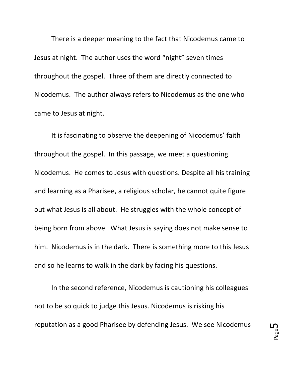There is a deeper meaning to the fact that Nicodemus came to Jesus at night. The author uses the word "night" seven times throughout the gospel. Three of them are directly connected to Nicodemus. The author always refers to Nicodemus as the one who came to Jesus at night.

It is fascinating to observe the deepening of Nicodemus' faith throughout the gospel. In this passage, we meet a questioning Nicodemus. He comes to Jesus with questions. Despite all his training and learning as a Pharisee, a religious scholar, he cannot quite figure out what Jesus is all about. He struggles with the whole concept of being born from above. What Jesus is saying does not make sense to him. Nicodemus is in the dark. There is something more to this Jesus and so he learns to walk in the dark by facing his questions.

In the second reference, Nicodemus is cautioning his colleagues not to be so quick to judge this Jesus. Nicodemus is risking his reputation as a good Pharisee by defending Jesus. We see Nicodemus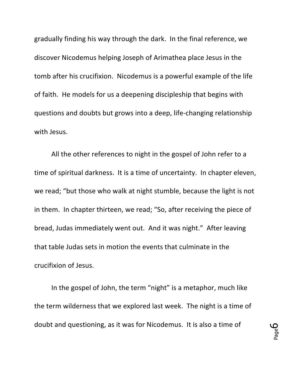gradually finding his way through the dark. In the final reference, we discover Nicodemus helping Joseph of Arimathea place Jesus in the tomb after his crucifixion. Nicodemus is a powerful example of the life of faith. He models for us a deepening discipleship that begins with questions and doubts but grows into a deep, life-changing relationship with Jesus.

All the other references to night in the gospel of John refer to a time of spiritual darkness. It is a time of uncertainty. In chapter eleven, we read; "but those who walk at night stumble, because the light is not in them. In chapter thirteen, we read; "So, after receiving the piece of bread, Judas immediately went out. And it was night." After leaving that table Judas sets in motion the events that culminate in the crucifixion of Jesus. 

In the gospel of John, the term "night" is a metaphor, much like the term wilderness that we explored last week. The night is a time of doubt and questioning, as it was for Nicodemus. It is also a time of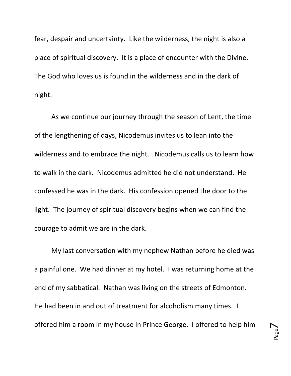fear, despair and uncertainty. Like the wilderness, the night is also a place of spiritual discovery. It is a place of encounter with the Divine. The God who loves us is found in the wilderness and in the dark of night.

As we continue our journey through the season of Lent, the time of the lengthening of days, Nicodemus invites us to lean into the wilderness and to embrace the night. Nicodemus calls us to learn how to walk in the dark. Nicodemus admitted he did not understand. He confessed he was in the dark. His confession opened the door to the light. The journey of spiritual discovery begins when we can find the courage to admit we are in the dark.

My last conversation with my nephew Nathan before he died was a painful one. We had dinner at my hotel. I was returning home at the end of my sabbatical. Nathan was living on the streets of Edmonton. He had been in and out of treatment for alcoholism many times. I offered him a room in my house in Prince George. I offered to help him

Page  $\blacktriangleright$